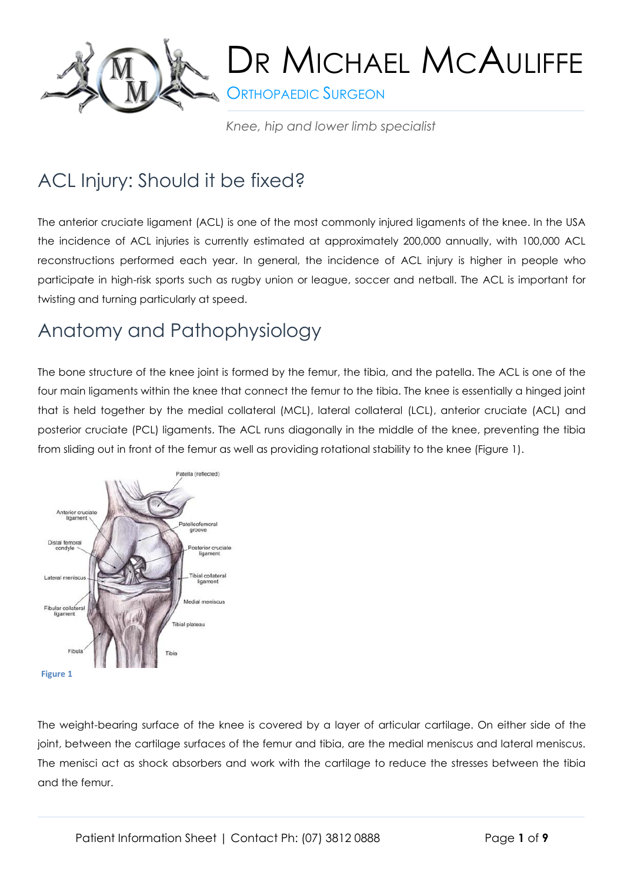

**ORTHOPAEDIC SURGEON** 

*Knee, hip and lower limb specialist*

### ACL Injury: Should it be fixed?

The anterior cruciate ligament (ACL) is one of the most commonly injured ligaments of the knee. In the USA the incidence of ACL injuries is currently estimated at approximately 200,000 annually, with 100,000 ACL reconstructions performed each year. In general, the incidence of ACL injury is higher in people who participate in high-risk sports such as rugby union or league, soccer and netball. The ACL is important for twisting and turning particularly at speed.

### Anatomy and Pathophysiology

The bone structure of the knee joint is formed by the femur, the tibia, and the patella. The ACL is one of the four main ligaments within the knee that connect the femur to the tibia. The knee is essentially a hinged joint that is held together by the medial collateral (MCL), lateral collateral (LCL), anterior cruciate (ACL) and posterior cruciate (PCL) ligaments. The ACL runs diagonally in the middle of the knee, preventing the tibia from sliding out in front of the femur as well as providing rotational stability to the knee (Figure 1).



The weight-bearing surface of the knee is covered by a layer of articular cartilage. On either side of the joint, between the cartilage surfaces of the femur and tibia, are the medial meniscus and lateral meniscus. The menisci act as shock absorbers and work with the cartilage to reduce the stresses between the tibia and the femur.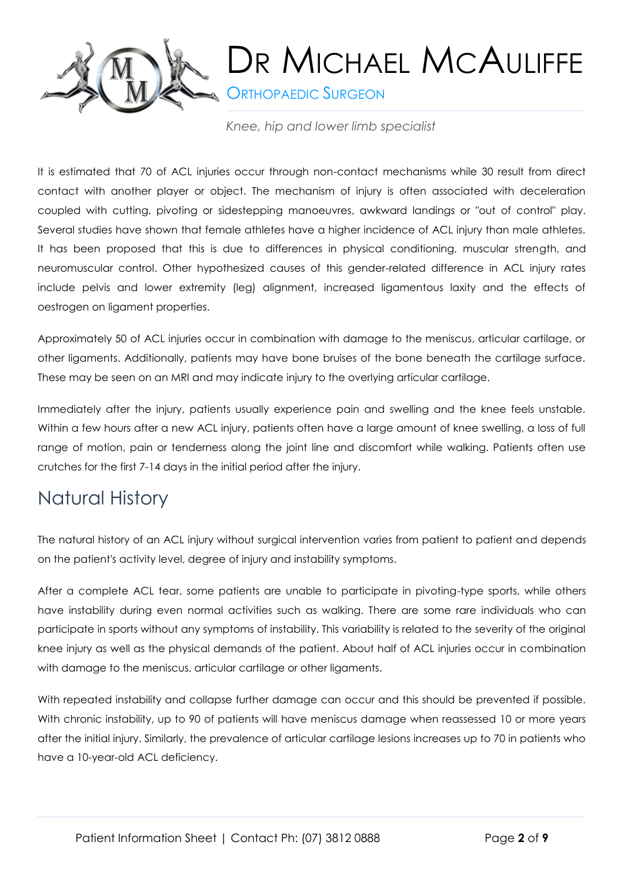

**SORTHOPAEDIC SURGEON** 

*Knee, hip and lower limb specialist*

It is estimated that 70 of ACL injuries occur through non-contact mechanisms while 30 result from direct contact with another player or object. The mechanism of injury is often associated with deceleration coupled with cutting, pivoting or sidestepping manoeuvres, awkward landings or "out of control" play. Several studies have shown that female athletes have a higher incidence of ACL injury than male athletes. It has been proposed that this is due to differences in physical conditioning, muscular strength, and neuromuscular control. Other hypothesized causes of this gender-related difference in ACL injury rates include pelvis and lower extremity (leg) alignment, increased ligamentous laxity and the effects of oestrogen on ligament properties.

Approximately 50 of ACL injuries occur in combination with damage to the meniscus, articular cartilage, or other ligaments. Additionally, patients may have bone bruises of the bone beneath the cartilage surface. These may be seen on an MRI and may indicate injury to the overlying articular cartilage.

Immediately after the injury, patients usually experience pain and swelling and the knee feels unstable. Within a few hours after a new ACL injury, patients often have a large amount of knee swelling, a loss of full range of motion, pain or tenderness along the joint line and discomfort while walking. Patients often use crutches for the first 7-14 days in the initial period after the injury.

#### Natural History

The natural history of an ACL injury without surgical intervention varies from patient to patient and depends on the patient's activity level, degree of injury and instability symptoms.

After a complete ACL tear, some patients are unable to participate in pivoting-type sports, while others have instability during even normal activities such as walking. There are some rare individuals who can participate in sports without any symptoms of instability. This variability is related to the severity of the original knee injury as well as the physical demands of the patient. About half of ACL injuries occur in combination with damage to the meniscus, articular cartilage or other ligaments.

With repeated instability and collapse further damage can occur and this should be prevented if possible. With chronic instability, up to 90 of patients will have meniscus damage when reassessed 10 or more years after the initial injury. Similarly, the prevalence of articular cartilage lesions increases up to 70 in patients who have a 10-year-old ACL deficiency.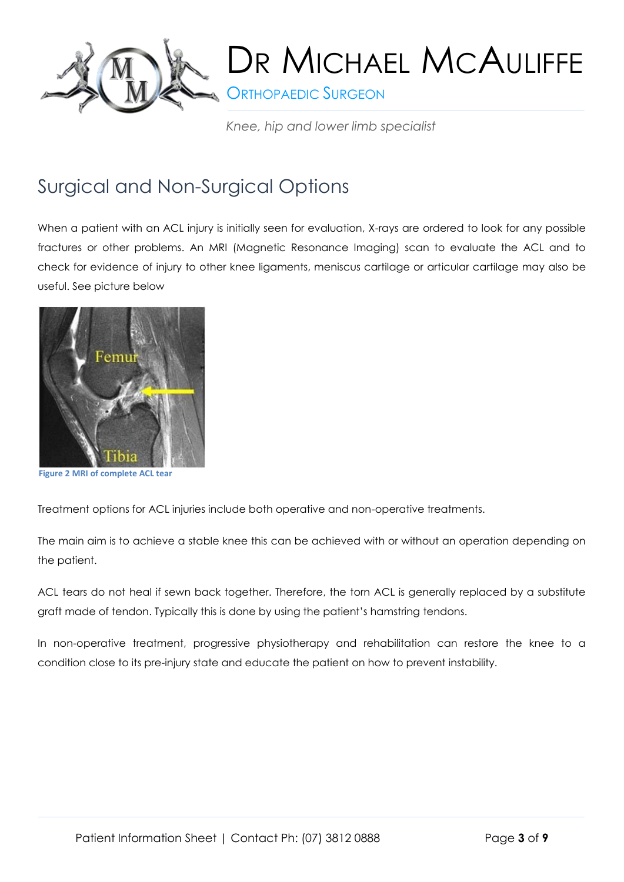

**ORTHOPAEDIC SURGEON** 

*Knee, hip and lower limb specialist*

#### Surgical and Non-Surgical Options

When a patient with an ACL injury is initially seen for evaluation, X-rays are ordered to look for any possible fractures or other problems. An MRI (Magnetic Resonance Imaging) scan to evaluate the ACL and to check for evidence of injury to other knee ligaments, meniscus cartilage or articular cartilage may also be useful. See picture below



**Figure 2 MRI of complete ACL tear**

Treatment options for ACL injuries include both operative and non-operative treatments.

The main aim is to achieve a stable knee this can be achieved with or without an operation depending on the patient.

ACL tears do not heal if sewn back together. Therefore, the torn ACL is generally replaced by a substitute graft made of tendon. Typically this is done by using the patient's hamstring tendons.

In non-operative treatment, progressive physiotherapy and rehabilitation can restore the knee to a condition close to its pre-injury state and educate the patient on how to prevent instability.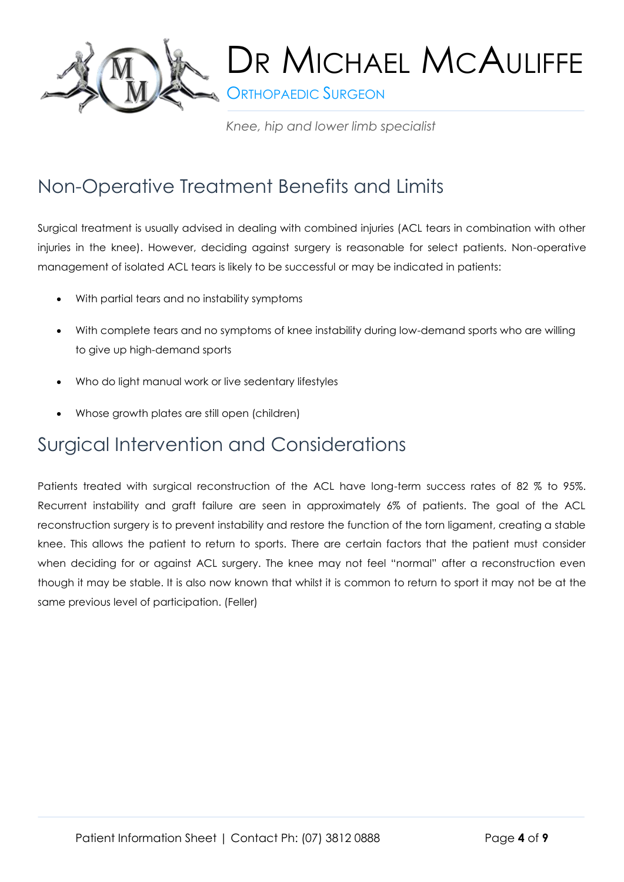

**S** ORTHOPAEDIC SURGEON

*Knee, hip and lower limb specialist*

#### Non-Operative Treatment Benefits and Limits

Surgical treatment is usually advised in dealing with combined injuries (ACL tears in combination with other injuries in the knee). However, deciding against surgery is reasonable for select patients. Non-operative management of isolated ACL tears is likely to be successful or may be indicated in patients:

- With partial tears and no instability symptoms
- With complete tears and no symptoms of knee instability during low-demand sports who are willing to give up high-demand sports
- Who do light manual work or live sedentary lifestyles
- Whose growth plates are still open (children)

#### Surgical Intervention and Considerations

Patients treated with surgical reconstruction of the ACL have long-term success rates of 82 % to 95%. Recurrent instability and graft failure are seen in approximately 6% of patients. The goal of the ACL reconstruction surgery is to prevent instability and restore the function of the torn ligament, creating a stable knee. This allows the patient to return to sports. There are certain factors that the patient must consider when deciding for or against ACL surgery. The knee may not feel "normal" after a reconstruction even though it may be stable. It is also now known that whilst it is common to return to sport it may not be at the same previous level of participation. (Feller)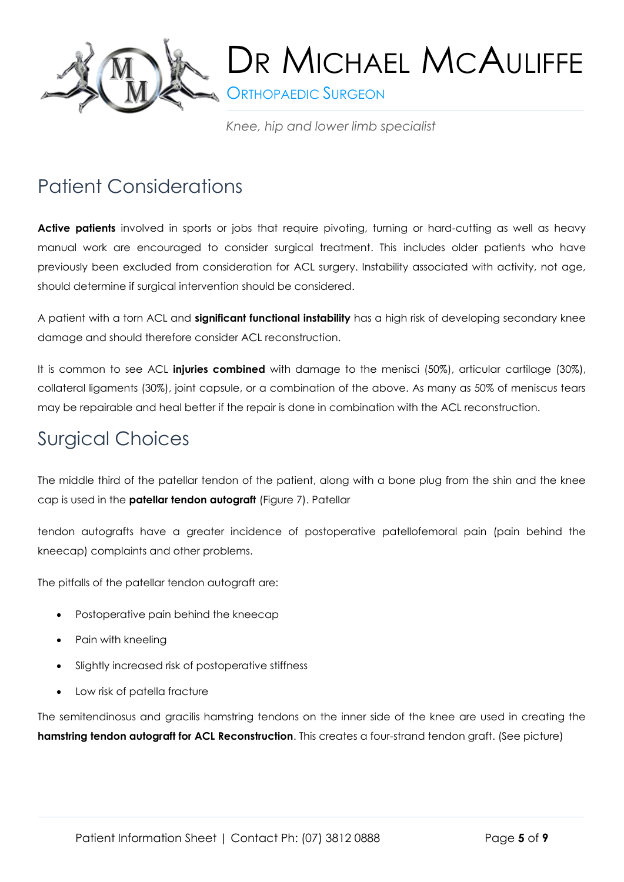

**SORTHOPAEDIC SURGEON** 

*Knee, hip and lower limb specialist*

#### Patient Considerations

**Active patients** involved in sports or jobs that require pivoting, turning or hard-cutting as well as heavy manual work are encouraged to consider surgical treatment. This includes older patients who have previously been excluded from consideration for ACL surgery. Instability associated with activity, not age, should determine if surgical intervention should be considered.

A patient with a torn ACL and **significant functional instability** has a high risk of developing secondary knee damage and should therefore consider ACL reconstruction.

It is common to see ACL **injuries combined** with damage to the menisci (50%), articular cartilage (30%), collateral ligaments (30%), joint capsule, or a combination of the above. As many as 50% of meniscus tears may be repairable and heal better if the repair is done in combination with the ACL reconstruction.

#### Surgical Choices

The middle third of the patellar tendon of the patient, along with a bone plug from the shin and the knee cap is used in the **patellar tendon autograft** (Figure 7). Patellar

tendon autografts have a greater incidence of postoperative patellofemoral pain (pain behind the kneecap) complaints and other problems.

The pitfalls of the patellar tendon autograft are:

- Postoperative pain behind the kneecap
- Pain with kneeling
- Slightly increased risk of postoperative stiffness
- Low risk of patella fracture

The semitendinosus and gracilis hamstring tendons on the inner side of the knee are used in creating the **hamstring tendon autograft for ACL Reconstruction**. This creates a four-strand tendon graft. (See picture)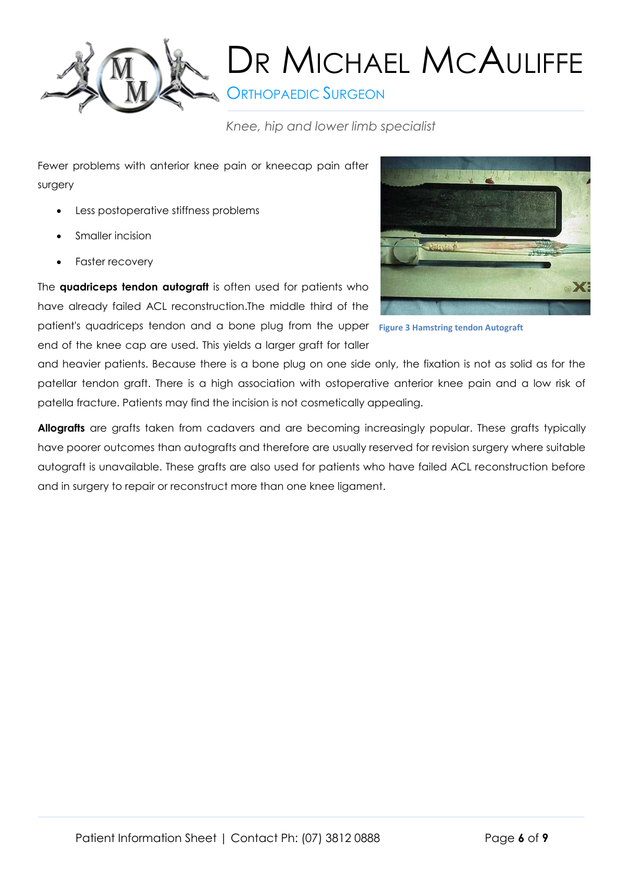

**ORTHOPAEDIC SURGEON** 

*Knee, hip and lower limb specialist*

Fewer problems with anterior knee pain or kneecap pain after surgery

- Less postoperative stiffness problems
- Smaller incision
- Faster recovery

The **quadriceps tendon autograft** is often used for patients who have already failed ACL reconstruction.The middle third of the patient's quadriceps tendon and a bone plug from the upper **Figure 3 Hamstring tendon Autograft**end of the knee cap are used. This yields a larger graft for taller



and heavier patients. Because there is a bone plug on one side only, the fixation is not as solid as for the patellar tendon graft. There is a high association with ostoperative anterior knee pain and a low risk of patella fracture. Patients may find the incision is not cosmetically appealing.

**Allografts** are grafts taken from cadavers and are becoming increasingly popular. These grafts typically have poorer outcomes than autografts and therefore are usually reserved for revision surgery where suitable autograft is unavailable. These grafts are also used for patients who have failed ACL reconstruction before and in surgery to repair or reconstruct more than one knee ligament.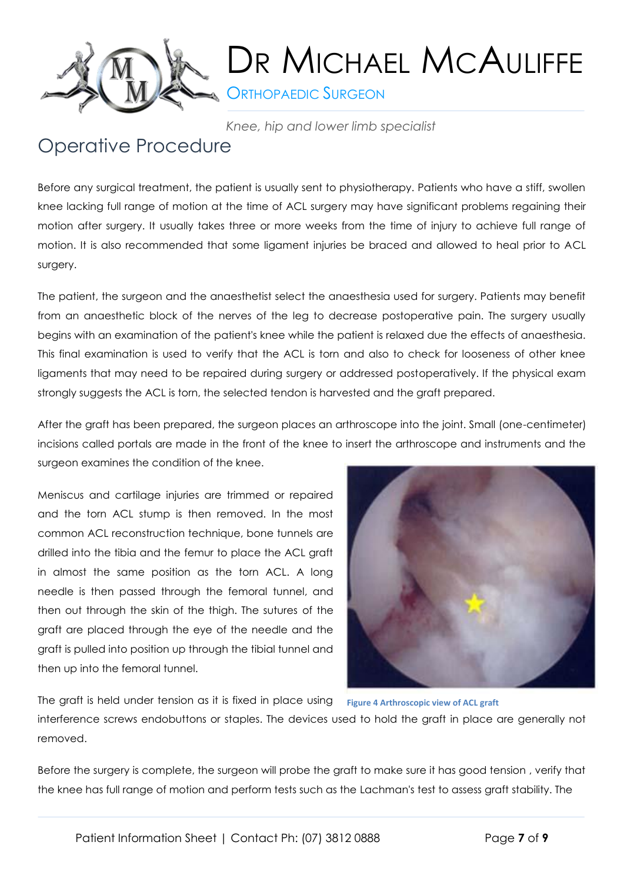

**ORTHOPAEDIC SURGEON** 

*Knee, hip and lower limb specialist*

#### Operative Procedure

Before any surgical treatment, the patient is usually sent to physiotherapy. Patients who have a stiff, swollen knee lacking full range of motion at the time of ACL surgery may have significant problems regaining their motion after surgery. It usually takes three or more weeks from the time of injury to achieve full range of motion. It is also recommended that some ligament injuries be braced and allowed to heal prior to ACL surgery.

The patient, the surgeon and the anaesthetist select the anaesthesia used for surgery. Patients may benefit from an anaesthetic block of the nerves of the leg to decrease postoperative pain. The surgery usually begins with an examination of the patient's knee while the patient is relaxed due the effects of anaesthesia. This final examination is used to verify that the ACL is torn and also to check for looseness of other knee ligaments that may need to be repaired during surgery or addressed postoperatively. If the physical exam strongly suggests the ACL is torn, the selected tendon is harvested and the graft prepared.

After the graft has been prepared, the surgeon places an arthroscope into the joint. Small (one-centimeter) incisions called portals are made in the front of the knee to insert the arthroscope and instruments and the surgeon examines the condition of the knee.

Meniscus and cartilage injuries are trimmed or repaired and the torn ACL stump is then removed. In the most common ACL reconstruction technique, bone tunnels are drilled into the tibia and the femur to place the ACL graft in almost the same position as the torn ACL. A long needle is then passed through the femoral tunnel, and then out through the skin of the thigh. The sutures of the graft are placed through the eye of the needle and the graft is pulled into position up through the tibial tunnel and then up into the femoral tunnel.



The graft is held under tension as it is fixed in place using

**Figure 4 Arthroscopic view of ACL graft**

interference screws endobuttons or staples. The devices used to hold the graft in place are generally not removed.

Before the surgery is complete, the surgeon will probe the graft to make sure it has good tension , verify that the knee has full range of motion and perform tests such as the Lachman's test to assess graft stability. The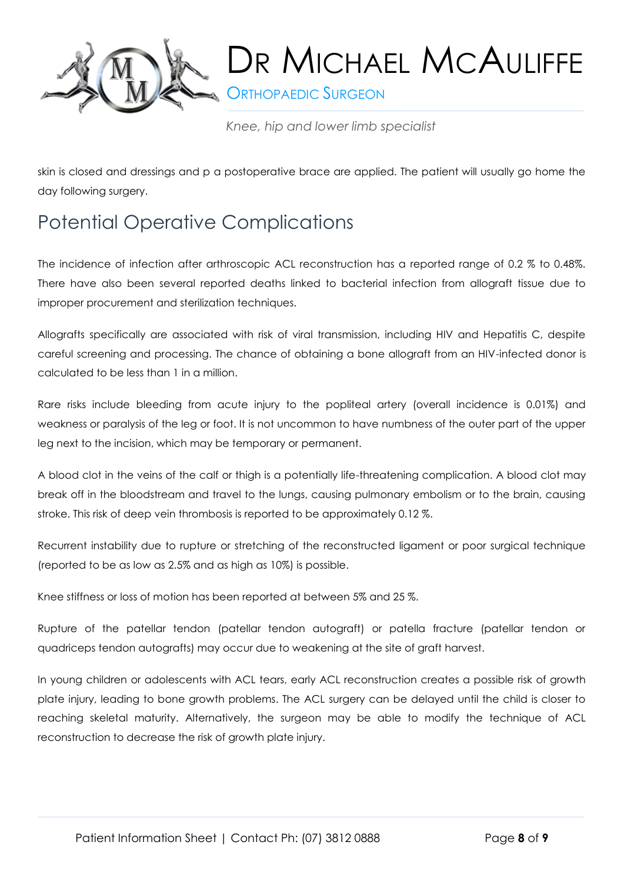

**S** ORTHOPAEDIC SURGEON

*Knee, hip and lower limb specialist*

skin is closed and dressings and p a postoperative brace are applied. The patient will usually go home the day following surgery.

### Potential Operative Complications

The incidence of infection after arthroscopic ACL reconstruction has a reported range of 0.2 % to 0.48%. There have also been several reported deaths linked to bacterial infection from allograft tissue due to improper procurement and sterilization techniques.

Allografts specifically are associated with risk of viral transmission, including HIV and Hepatitis C, despite careful screening and processing. The chance of obtaining a bone allograft from an HIV-infected donor is calculated to be less than 1 in a million.

Rare risks include bleeding from acute injury to the popliteal artery (overall incidence is 0.01%) and weakness or paralysis of the leg or foot. It is not uncommon to have numbness of the outer part of the upper leg next to the incision, which may be temporary or permanent.

A blood clot in the veins of the calf or thigh is a potentially life-threatening complication. A blood clot may break off in the bloodstream and travel to the lungs, causing pulmonary embolism or to the brain, causing stroke. This risk of deep vein thrombosis is reported to be approximately 0.12 %.

Recurrent instability due to rupture or stretching of the reconstructed ligament or poor surgical technique (reported to be as low as 2.5% and as high as 10%) is possible.

Knee stiffness or loss of motion has been reported at between 5% and 25 %.

Rupture of the patellar tendon (patellar tendon autograft) or patella fracture (patellar tendon or quadriceps tendon autografts) may occur due to weakening at the site of graft harvest.

In young children or adolescents with ACL tears, early ACL reconstruction creates a possible risk of growth plate injury, leading to bone growth problems. The ACL surgery can be delayed until the child is closer to reaching skeletal maturity. Alternatively, the surgeon may be able to modify the technique of ACL reconstruction to decrease the risk of growth plate injury.